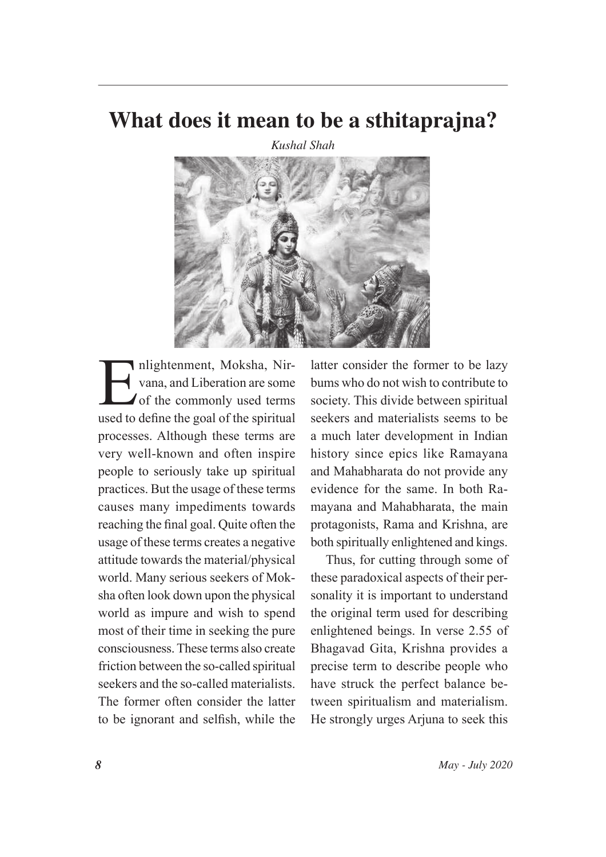## What does it mean to be a sthitaprajna?

**Kushal Shah** 



nlightenment, Moksha, Nirvana, and Liberation are some of the commonly used terms used to define the goal of the spiritual processes. Although these terms are very well-known and often inspire people to seriously take up spiritual practices. But the usage of these terms causes many impediments towards reaching the final goal. Quite often the usage of these terms creates a negative attitude towards the material/physical world. Many serious seekers of Moksha often look down upon the physical world as impure and wish to spend most of their time in seeking the pure consciousness. These terms also create friction between the so-called spiritual seekers and the so-called materialists The former often consider the latter to be ignorant and selfish, while the

latter consider the former to be lazy bums who do not wish to contribute to society. This divide between spiritual seekers and materialists seems to be a much later development in Indian history since epics like Ramayana and Mahabharata do not provide any evidence for the same. In both Ramayana and Mahabharata, the main protagonists, Rama and Krishna, are both spiritually enlightened and kings.

Thus, for cutting through some of these paradoxical aspects of their personality it is important to understand the original term used for describing enlightened beings. In verse 2.55 of Bhagavad Gita, Krishna provides a precise term to describe people who have struck the perfect balance between spiritualism and materialism. He strongly urges Arjuna to seek this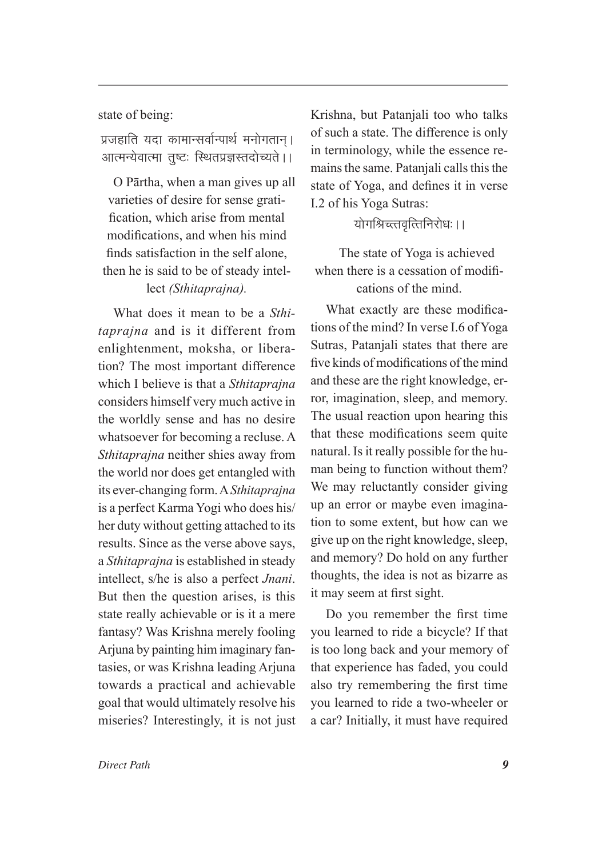state of being:

प्रजहाति यदा कामान्सर्वान्पार्थ मनोगतान। आत्मन्येवात्मा तुष्टः स्थितप्रज्ञस्तदोच्यते ।।

O Pārtha, when a man gives up all varieties of desire for sense gratification, which arise from mental modifications, and when his mind finds satisfaction in the self alone. then he is said to be of steady intellect (Sthitaprajna).

What does it mean to be a Sthi*tapraina* and is it different from enlightenment, moksha, or liberation? The most important difference which I believe is that a Sthitaprajna considers himself very much active in the worldly sense and has no desire whatsoever for becoming a recluse. A Sthitaprajna neither shies away from the world nor does get entangled with its ever-changing form. A Sthitaprajna is a perfect Karma Yogi who does his/ her duty without getting attached to its results. Since as the verse above says, a Sthitaprajna is established in steady intellect, s/he is also a perfect Jnani. But then the question arises, is this state really achievable or is it a mere fantasy? Was Krishna merely fooling Arjuna by painting him imaginary fantasies, or was Krishna leading Arjuna towards a practical and achievable goal that would ultimately resolve his miseries? Interestingly, it is not just

Krishna, but Patanjali too who talks of such a state. The difference is only in terminology, while the essence remains the same. Patanjali calls this the state of Yoga, and defines it in verse I.2 of his Yoga Sutras:

योगश्रिच्त्तवृत्तिनिरोधः ।।

The state of Yoga is achieved when there is a cessation of modifications of the mind.

What exactly are these modifications of the mind? In verse I.6 of Yoga Sutras, Patanjali states that there are five kinds of modifications of the mind and these are the right knowledge, error, imagination, sleep, and memory. The usual reaction upon hearing this that these modifications seem quite natural. Is it really possible for the human being to function without them? We may reluctantly consider giving up an error or maybe even imagination to some extent, but how can we give up on the right knowledge, sleep, and memory? Do hold on any further thoughts, the idea is not as bizarre as it may seem at first sight.

Do you remember the first time you learned to ride a bicycle? If that is too long back and your memory of that experience has faded, you could also try remembering the first time you learned to ride a two-wheeler or a car? Initially, it must have required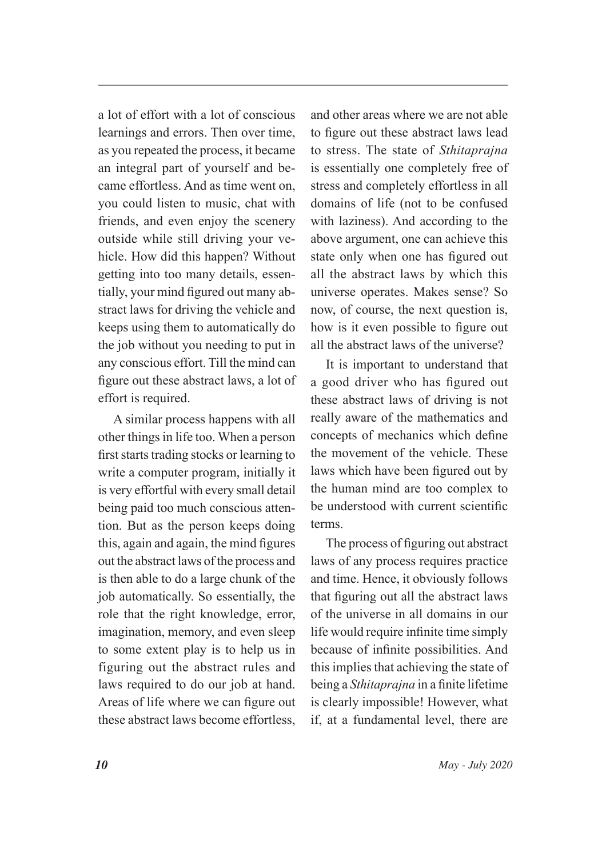a lot of effort with a lot of conscious learnings and errors. Then over time. as you repeated the process, it became an integral part of yourself and became effortless. And as time went on. you could listen to music, chat with friends, and even enjoy the scenery outside while still driving your vehicle. How did this happen? Without getting into too many details, essentially, your mind figured out many abstract laws for driving the vehicle and keeps using them to automatically do the job without you needing to put in any conscious effort. Till the mind can figure out these abstract laws, a lot of effort is required.

A similar process happens with all other things in life too. When a person first starts trading stocks or learning to write a computer program, initially it is very effortful with every small detail being paid too much conscious attention. But as the person keeps doing this, again and again, the mind figures out the abstract laws of the process and is then able to do a large chunk of the job automatically. So essentially, the role that the right knowledge, error, imagination, memory, and even sleep to some extent play is to help us in figuring out the abstract rules and laws required to do our job at hand. Areas of life where we can figure out these abstract laws become effortless. and other areas where we are not able to figure out these abstract laws lead to stress. The state of *Sthitapraina* is essentially one completely free of stress and completely effortless in all domains of life (not to be confused with laziness). And according to the above argument, one can achieve this state only when one has figured out all the abstract laws by which this universe operates. Makes sense? So now, of course, the next question is, how is it even possible to figure out all the abstract laws of the universe?

It is important to understand that a good driver who has figured out these abstract laws of driving is not really aware of the mathematics and concepts of mechanics which define the movement of the vehicle. These laws which have been figured out by the human mind are too complex to be understood with current scientific terms.

The process of figuring out abstract laws of any process requires practice and time. Hence, it obviously follows that figuring out all the abstract laws of the universe in all domains in our life would require infinite time simply because of infinite possibilities. And this implies that achieving the state of being a Sthitaprajna in a finite lifetime is clearly impossible! However, what if, at a fundamental level, there are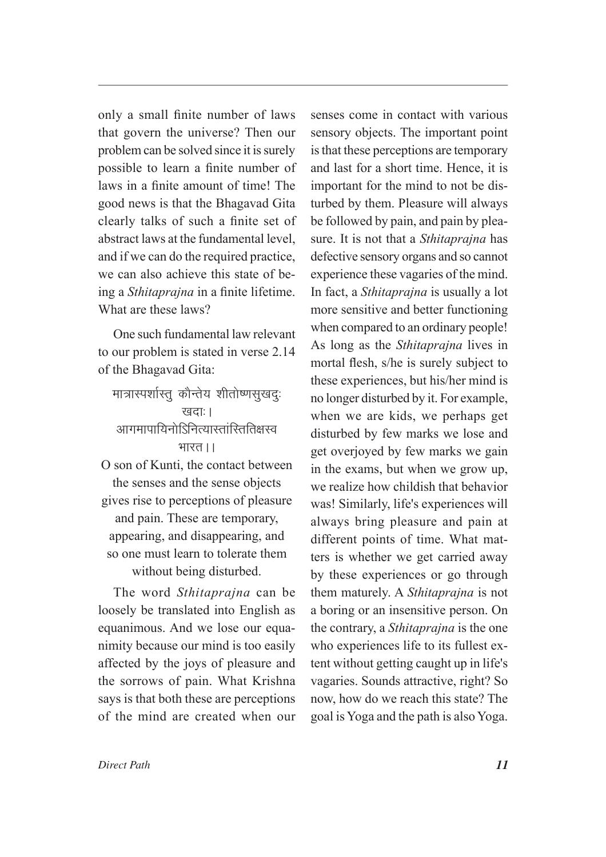only a small finite number of laws that govern the universe? Then our problem can be solved since it is surely possible to learn a finite number of laws in a finite amount of time! The good news is that the Bhagavad Gita clearly talks of such a finite set of abstract laws at the fundamental level, and if we can do the required practice, we can also achieve this state of being a *Sthitaprajna* in a finite lifetime. What are these laws?

One such fundamental law relevant to our problem is stated in verse 2.14 of the Bhagavad Gita:

मात्रास्पर्शास्त् कौन्तेय शीतोष्णसुखदुः खदाः । आगमापायिनोऽिनित्यास्तांस्तितिक्षस्व भारत । । O son of Kunti, the contact between the senses and the sense objects gives rise to perceptions of pleasure and pain. These are temporary, appearing, and disappearing, and so one must learn to tolerate them without being disturbed.

The word Sthitaprajna can be loosely be translated into English as equanimous. And we lose our equanimity because our mind is too easily affected by the joys of pleasure and the sorrows of pain. What Krishna says is that both these are perceptions of the mind are created when our

senses come in contact with various sensory objects. The important point is that these perceptions are temporary and last for a short time. Hence, it is important for the mind to not be disturbed by them. Pleasure will always be followed by pain, and pain by pleasure. It is not that a *Sthitapraina* has defective sensory organs and so cannot experience these vagaries of the mind. In fact, a *Sthitaprajna* is usually a lot more sensitive and better functioning when compared to an ordinary people! As long as the *Sthitaprajna* lives in mortal flesh, s/he is surely subject to these experiences, but his/her mind is no longer disturbed by it. For example, when we are kids, we perhaps get disturbed by few marks we lose and get overjoyed by few marks we gain in the exams, but when we grow up, we realize how childish that behavior was! Similarly, life's experiences will always bring pleasure and pain at different points of time. What matters is whether we get carried away by these experiences or go through them maturely. A Sthitaprajna is not a boring or an insensitive person. On the contrary, a *Sthitaprajna* is the one who experiences life to its fullest extent without getting caught up in life's vagaries. Sounds attractive, right? So now, how do we reach this state? The goal is Yoga and the path is also Yoga.